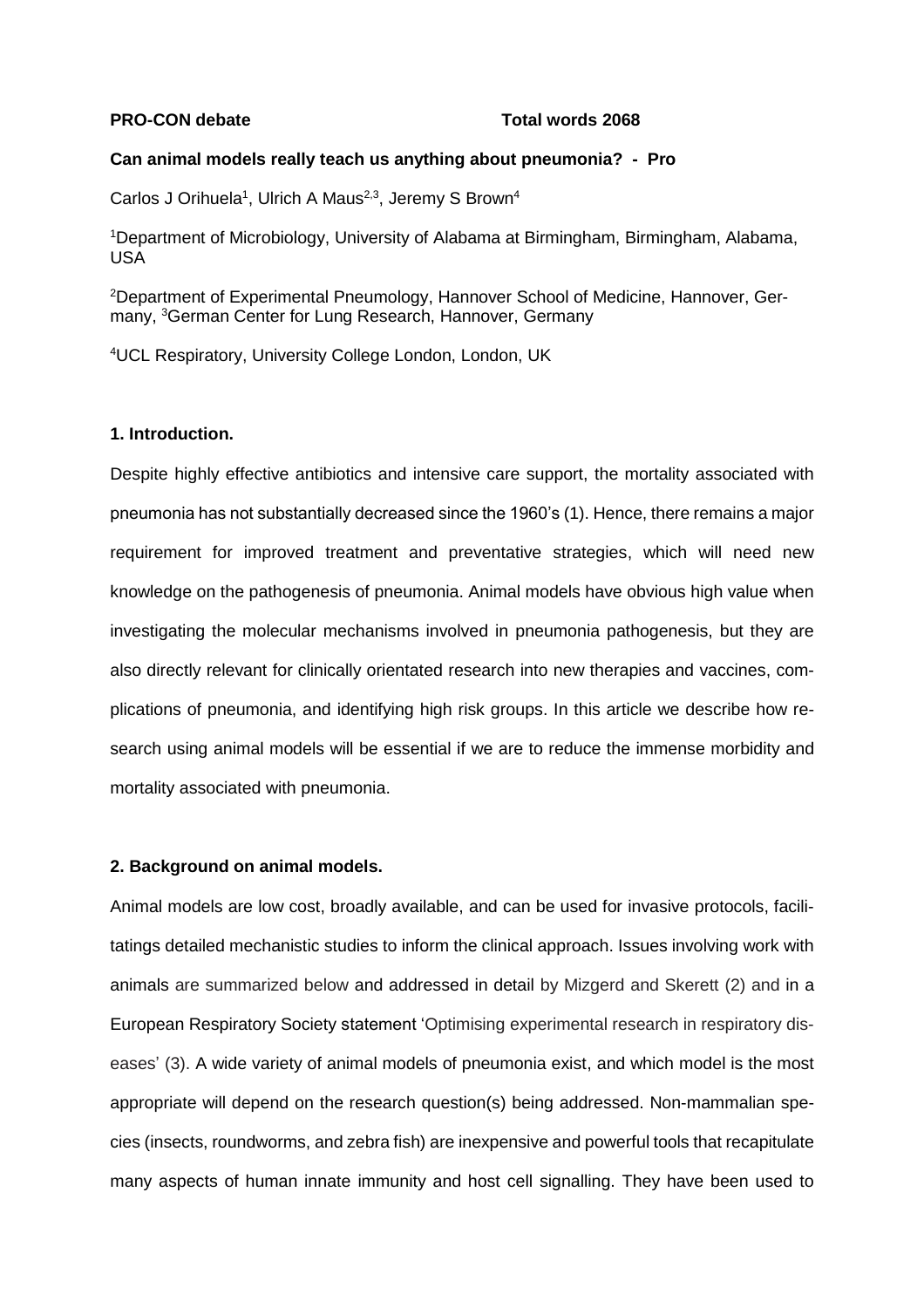#### **PRO-CON debate** Total words 2068

#### **Can animal models really teach us anything about pneumonia? - Pro**

Carlos J Orihuela<sup>1</sup>, Ulrich A Maus<sup>2,3</sup>, Jeremy S Brown<sup>4</sup>

<sup>1</sup>Department of Microbiology, University of Alabama at Birmingham, Birmingham, Alabama, USA

2Department of Experimental Pneumology, Hannover School of Medicine, Hannover, Germany, <sup>3</sup>German Center for Lung Research, Hannover, Germany

<sup>4</sup>UCL Respiratory, University College London, London, UK

## **1. Introduction.**

Despite highly effective antibiotics and intensive care support, the mortality associated with pneumonia has not substantially decreased since the 1960's (1). Hence, there remains a major requirement for improved treatment and preventative strategies, which will need new knowledge on the pathogenesis of pneumonia. Animal models have obvious high value when investigating the molecular mechanisms involved in pneumonia pathogenesis, but they are also directly relevant for clinically orientated research into new therapies and vaccines, complications of pneumonia, and identifying high risk groups. In this article we describe how research using animal models will be essential if we are to reduce the immense morbidity and mortality associated with pneumonia.

### **2. Background on animal models.**

Animal models are low cost, broadly available, and can be used for invasive protocols, facilitatings detailed mechanistic studies to inform the clinical approach. Issues involving work with animals are summarized below and addressed in detail by Mizgerd and Skerett (2) and in a European Respiratory Society statement 'Optimising experimental research in respiratory diseases' (3). A wide variety of animal models of pneumonia exist, and which model is the most appropriate will depend on the research question(s) being addressed. Non-mammalian species (insects, roundworms, and zebra fish) are inexpensive and powerful tools that recapitulate many aspects of human innate immunity and host cell signalling. They have been used to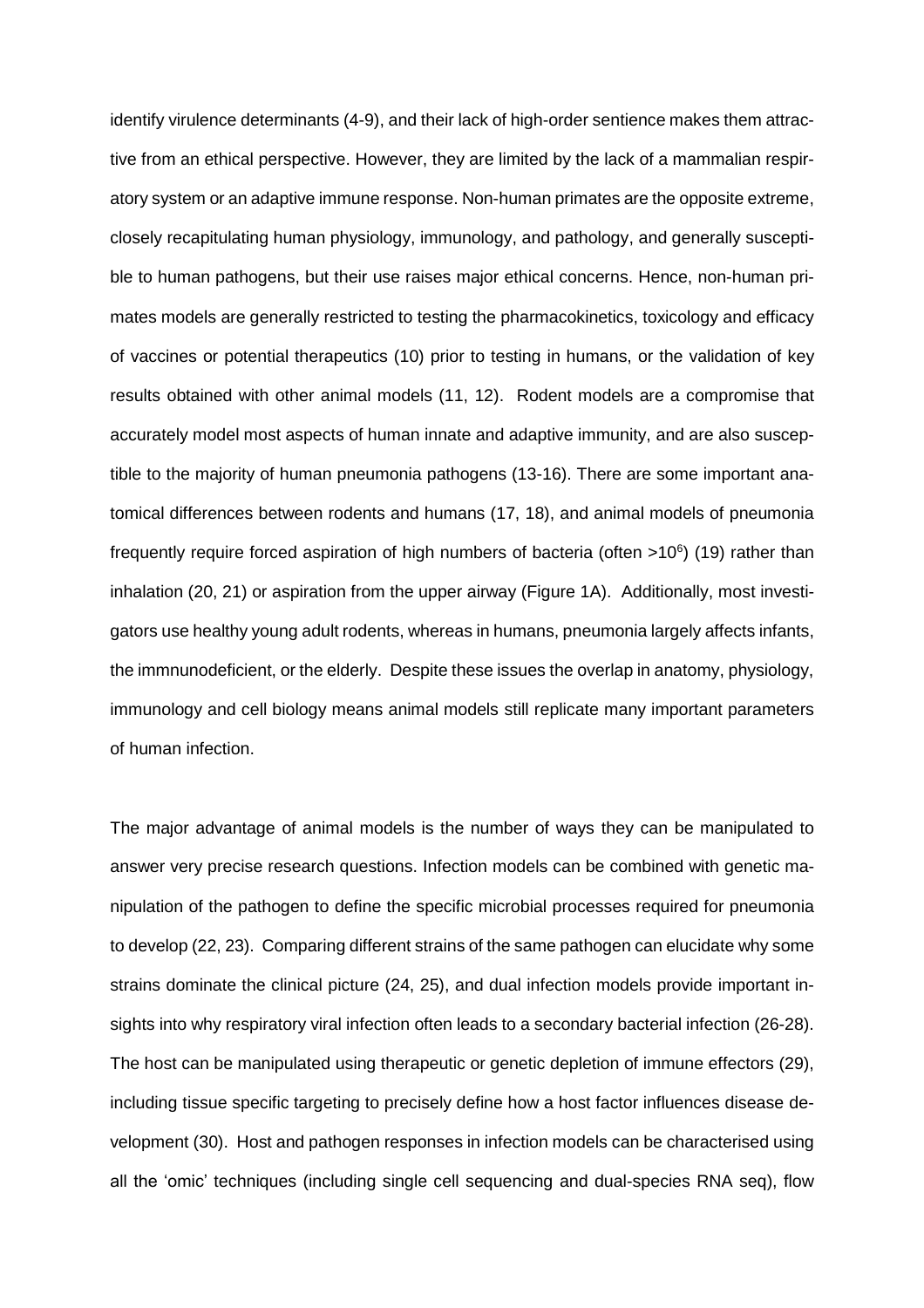identify virulence determinants (4-9), and their lack of high-order sentience makes them attractive from an ethical perspective. However, they are limited by the lack of a mammalian respiratory system or an adaptive immune response. Non-human primates are the opposite extreme, closely recapitulating human physiology, immunology, and pathology, and generally susceptible to human pathogens, but their use raises major ethical concerns. Hence, non-human primates models are generally restricted to testing the pharmacokinetics, toxicology and efficacy of vaccines or potential therapeutics (10) prior to testing in humans, or the validation of key results obtained with other animal models (11, 12). Rodent models are a compromise that accurately model most aspects of human innate and adaptive immunity, and are also susceptible to the majority of human pneumonia pathogens (13-16). There are some important anatomical differences between rodents and humans (17, 18), and animal models of pneumonia frequently require forced aspiration of high numbers of bacteria (often >10<sup>6</sup>) (19) rather than inhalation (20, 21) or aspiration from the upper airway (Figure 1A). Additionally, most investigators use healthy young adult rodents, whereas in humans, pneumonia largely affects infants, the immnunodeficient, or the elderly. Despite these issues the overlap in anatomy, physiology, immunology and cell biology means animal models still replicate many important parameters of human infection.

The major advantage of animal models is the number of ways they can be manipulated to answer very precise research questions. Infection models can be combined with genetic manipulation of the pathogen to define the specific microbial processes required for pneumonia to develop (22, 23). Comparing different strains of the same pathogen can elucidate why some strains dominate the clinical picture (24, 25), and dual infection models provide important insights into why respiratory viral infection often leads to a secondary bacterial infection (26-28). The host can be manipulated using therapeutic or genetic depletion of immune effectors (29), including tissue specific targeting to precisely define how a host factor influences disease development (30). Host and pathogen responses in infection models can be characterised using all the 'omic' techniques (including single cell sequencing and dual-species RNA seq), flow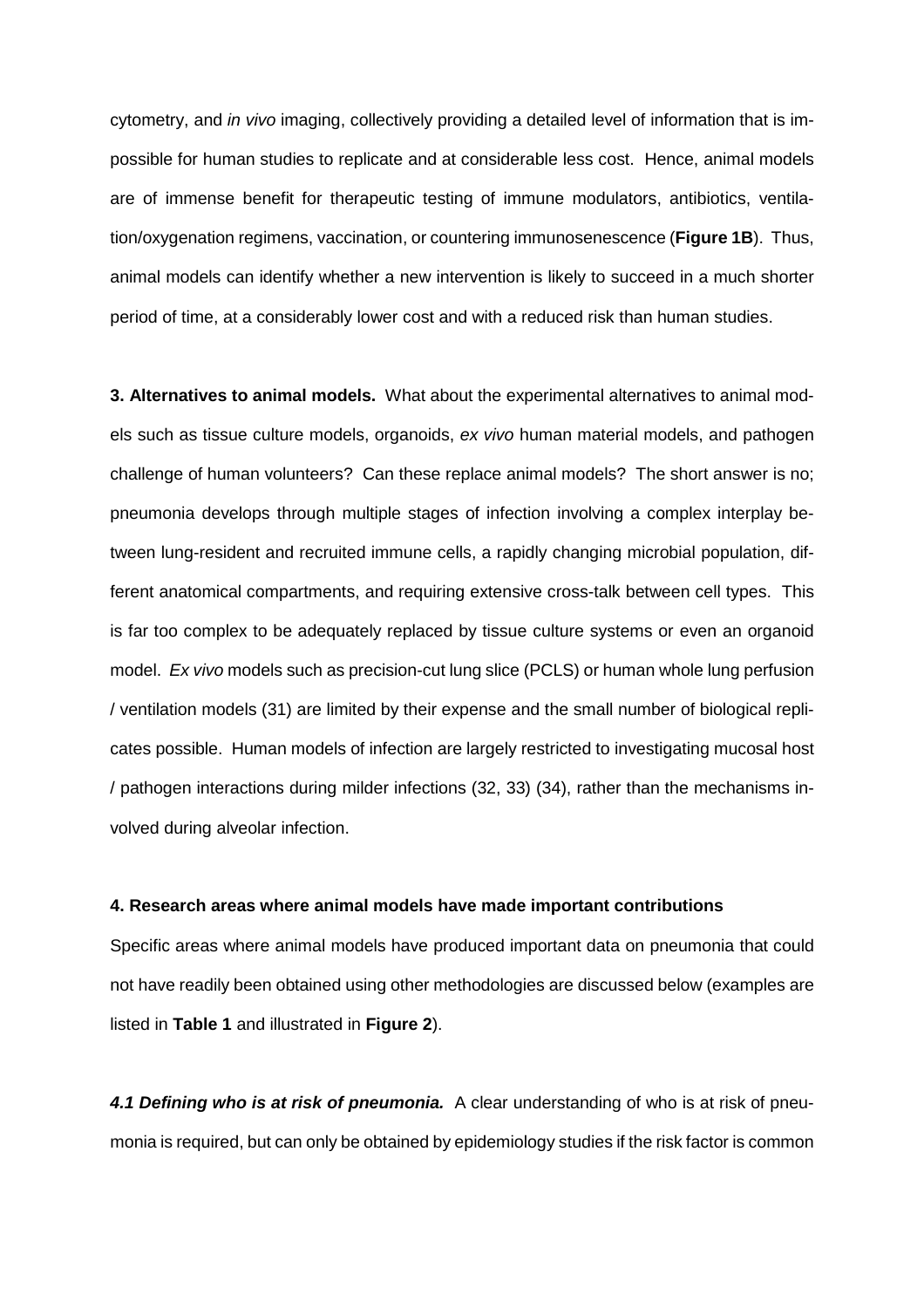cytometry, and *in vivo* imaging, collectively providing a detailed level of information that is impossible for human studies to replicate and at considerable less cost. Hence, animal models are of immense benefit for therapeutic testing of immune modulators, antibiotics, ventilation/oxygenation regimens, vaccination, or countering immunosenescence (**Figure 1B**). Thus, animal models can identify whether a new intervention is likely to succeed in a much shorter period of time, at a considerably lower cost and with a reduced risk than human studies.

**3. Alternatives to animal models.** What about the experimental alternatives to animal models such as tissue culture models, organoids, *ex vivo* human material models, and pathogen challenge of human volunteers? Can these replace animal models? The short answer is no; pneumonia develops through multiple stages of infection involving a complex interplay between lung-resident and recruited immune cells, a rapidly changing microbial population, different anatomical compartments, and requiring extensive cross-talk between cell types. This is far too complex to be adequately replaced by tissue culture systems or even an organoid model. *Ex vivo* models such as precision-cut lung slice (PCLS) or human whole lung perfusion / ventilation models (31) are limited by their expense and the small number of biological replicates possible. Human models of infection are largely restricted to investigating mucosal host / pathogen interactions during milder infections (32, 33) (34), rather than the mechanisms involved during alveolar infection.

#### **4. Research areas where animal models have made important contributions**

Specific areas where animal models have produced important data on pneumonia that could not have readily been obtained using other methodologies are discussed below (examples are listed in **Table 1** and illustrated in **Figure 2**).

*4.1 Defining who is at risk of pneumonia.* A clear understanding of who is at risk of pneumonia is required, but can only be obtained by epidemiology studies if the risk factor is common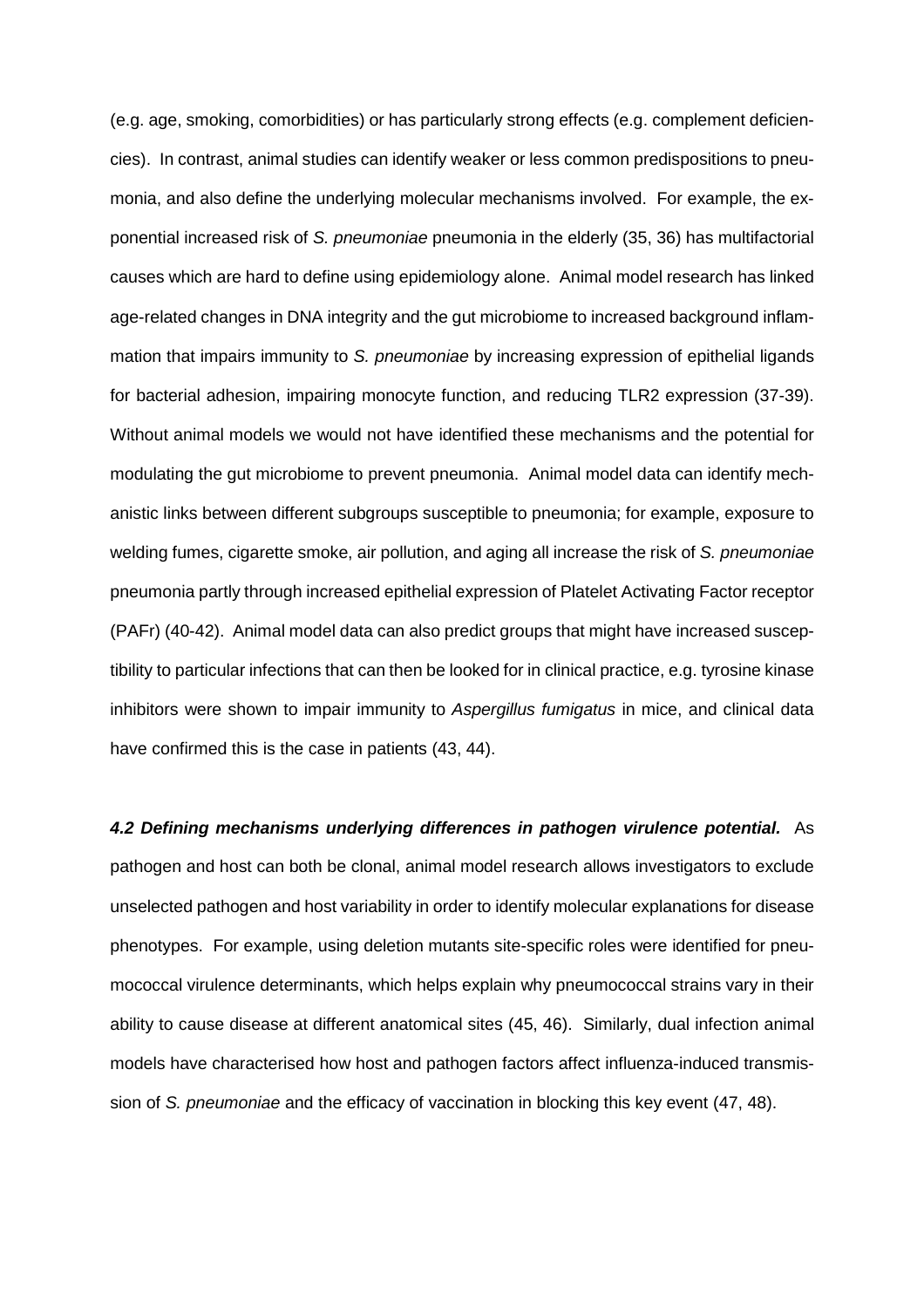(e.g. age, smoking, comorbidities) or has particularly strong effects (e.g. complement deficiencies). In contrast, animal studies can identify weaker or less common predispositions to pneumonia, and also define the underlying molecular mechanisms involved. For example, the exponential increased risk of *S. pneumoniae* pneumonia in the elderly (35, 36) has multifactorial causes which are hard to define using epidemiology alone. Animal model research has linked age-related changes in DNA integrity and the gut microbiome to increased background inflammation that impairs immunity to *S. pneumoniae* by increasing expression of epithelial ligands for bacterial adhesion, impairing monocyte function, and reducing TLR2 expression (37-39). Without animal models we would not have identified these mechanisms and the potential for modulating the gut microbiome to prevent pneumonia. Animal model data can identify mechanistic links between different subgroups susceptible to pneumonia; for example, exposure to welding fumes, cigarette smoke, air pollution, and aging all increase the risk of *S. pneumoniae* pneumonia partly through increased epithelial expression of Platelet Activating Factor receptor (PAFr) (40-42). Animal model data can also predict groups that might have increased susceptibility to particular infections that can then be looked for in clinical practice, e.g. tyrosine kinase inhibitors were shown to impair immunity to *Aspergillus fumigatus* in mice, and clinical data have confirmed this is the case in patients (43, 44).

*4.2 Defining mechanisms underlying differences in pathogen virulence potential.* As pathogen and host can both be clonal, animal model research allows investigators to exclude unselected pathogen and host variability in order to identify molecular explanations for disease phenotypes. For example, using deletion mutants site-specific roles were identified for pneumococcal virulence determinants, which helps explain why pneumococcal strains vary in their ability to cause disease at different anatomical sites (45, 46). Similarly, dual infection animal models have characterised how host and pathogen factors affect influenza-induced transmission of *S. pneumoniae* and the efficacy of vaccination in blocking this key event (47, 48).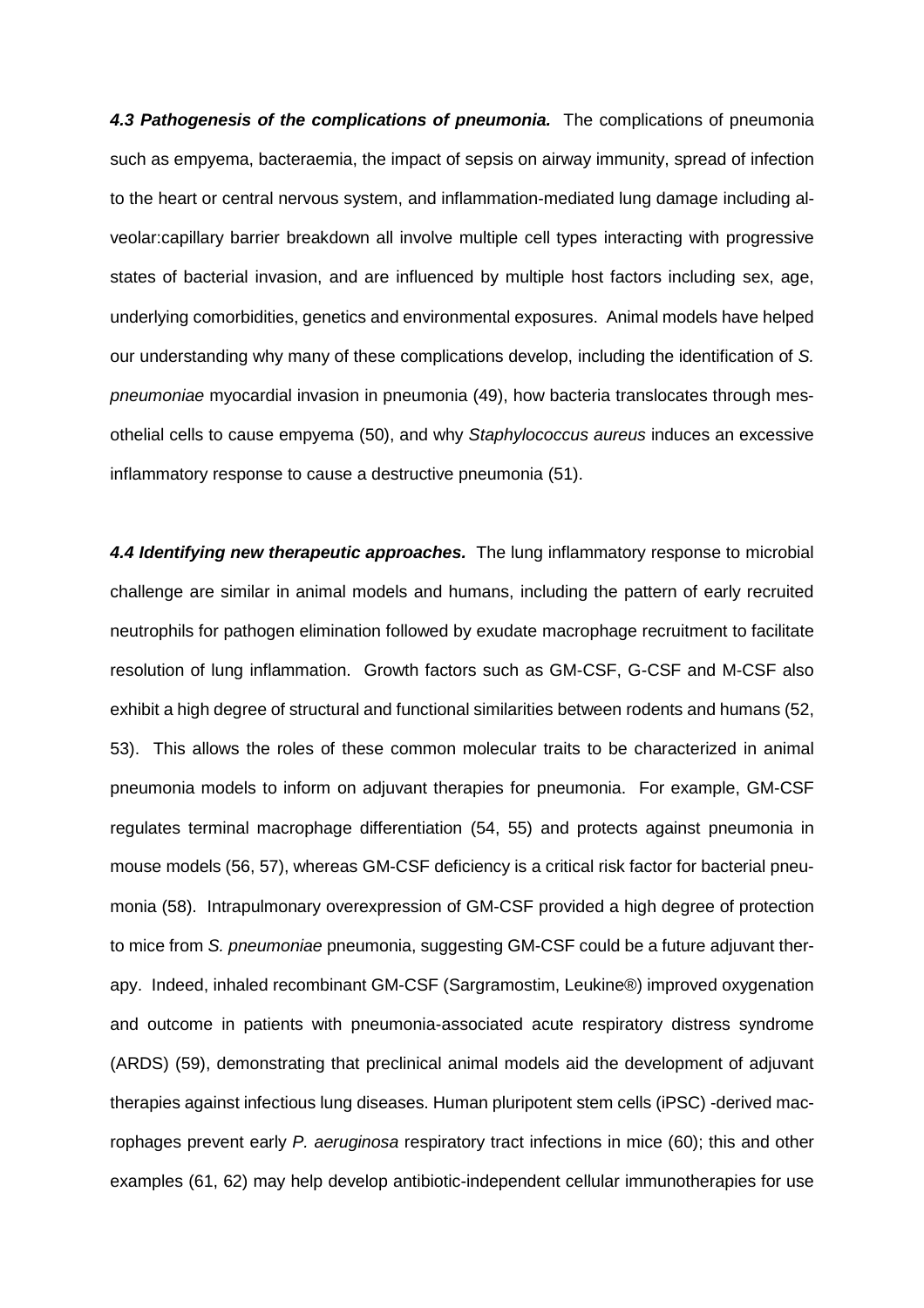*4.3 Pathogenesis of the complications of pneumonia.* The complications of pneumonia such as empyema, bacteraemia, the impact of sepsis on airway immunity, spread of infection to the heart or central nervous system, and inflammation-mediated lung damage including alveolar:capillary barrier breakdown all involve multiple cell types interacting with progressive states of bacterial invasion, and are influenced by multiple host factors including sex, age, underlying comorbidities, genetics and environmental exposures. Animal models have helped our understanding why many of these complications develop, including the identification of *S. pneumoniae* myocardial invasion in pneumonia (49), how bacteria translocates through mesothelial cells to cause empyema (50), and why *Staphylococcus aureus* induces an excessive inflammatory response to cause a destructive pneumonia (51).

*4.4 Identifying new therapeutic approaches.* The lung inflammatory response to microbial challenge are similar in animal models and humans, including the pattern of early recruited neutrophils for pathogen elimination followed by exudate macrophage recruitment to facilitate resolution of lung inflammation. Growth factors such as GM-CSF, G-CSF and M-CSF also exhibit a high degree of structural and functional similarities between rodents and humans (52, 53). This allows the roles of these common molecular traits to be characterized in animal pneumonia models to inform on adjuvant therapies for pneumonia. For example, GM-CSF regulates terminal macrophage differentiation (54, 55) and protects against pneumonia in mouse models (56, 57), whereas GM-CSF deficiency is a critical risk factor for bacterial pneumonia (58). Intrapulmonary overexpression of GM-CSF provided a high degree of protection to mice from *S. pneumoniae* pneumonia, suggesting GM-CSF could be a future adjuvant therapy. Indeed, inhaled recombinant GM-CSF (Sargramostim, Leukine®) improved oxygenation and outcome in patients with pneumonia-associated acute respiratory distress syndrome (ARDS) (59), demonstrating that preclinical animal models aid the development of adjuvant therapies against infectious lung diseases. Human pluripotent stem cells (iPSC) -derived macrophages prevent early *P. aeruginosa* respiratory tract infections in mice (60); this and other examples (61, 62) may help develop antibiotic-independent cellular immunotherapies for use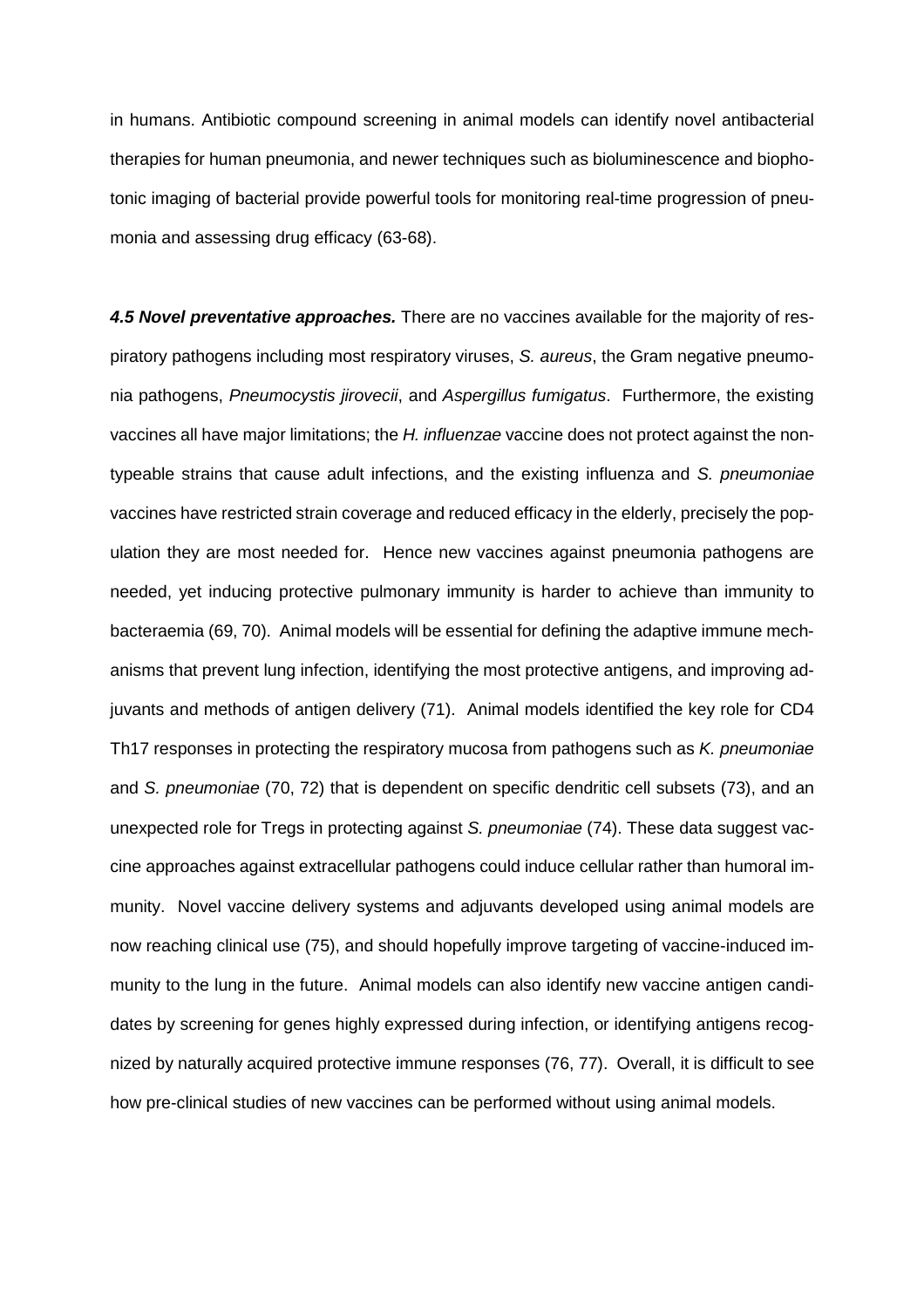in humans. Antibiotic compound screening in animal models can identify novel antibacterial therapies for human pneumonia, and newer techniques such as bioluminescence and biophotonic imaging of bacterial provide powerful tools for monitoring real-time progression of pneumonia and assessing drug efficacy (63-68).

*4.5 Novel preventative approaches.* There are no vaccines available for the majority of respiratory pathogens including most respiratory viruses, *S. aureus*, the Gram negative pneumonia pathogens, *Pneumocystis jirovecii*, and *Aspergillus fumigatus*. Furthermore, the existing vaccines all have major limitations; the *H. influenzae* vaccine does not protect against the nontypeable strains that cause adult infections, and the existing influenza and *S. pneumoniae* vaccines have restricted strain coverage and reduced efficacy in the elderly, precisely the population they are most needed for. Hence new vaccines against pneumonia pathogens are needed, yet inducing protective pulmonary immunity is harder to achieve than immunity to bacteraemia (69, 70). Animal models will be essential for defining the adaptive immune mechanisms that prevent lung infection, identifying the most protective antigens, and improving adjuvants and methods of antigen delivery (71). Animal models identified the key role for CD4 Th17 responses in protecting the respiratory mucosa from pathogens such as *K. pneumoniae* and *S. pneumoniae* (70, 72) that is dependent on specific dendritic cell subsets (73), and an unexpected role for Tregs in protecting against *S. pneumoniae* (74). These data suggest vaccine approaches against extracellular pathogens could induce cellular rather than humoral immunity. Novel vaccine delivery systems and adjuvants developed using animal models are now reaching clinical use (75), and should hopefully improve targeting of vaccine-induced immunity to the lung in the future. Animal models can also identify new vaccine antigen candidates by screening for genes highly expressed during infection, or identifying antigens recognized by naturally acquired protective immune responses (76, 77). Overall, it is difficult to see how pre-clinical studies of new vaccines can be performed without using animal models.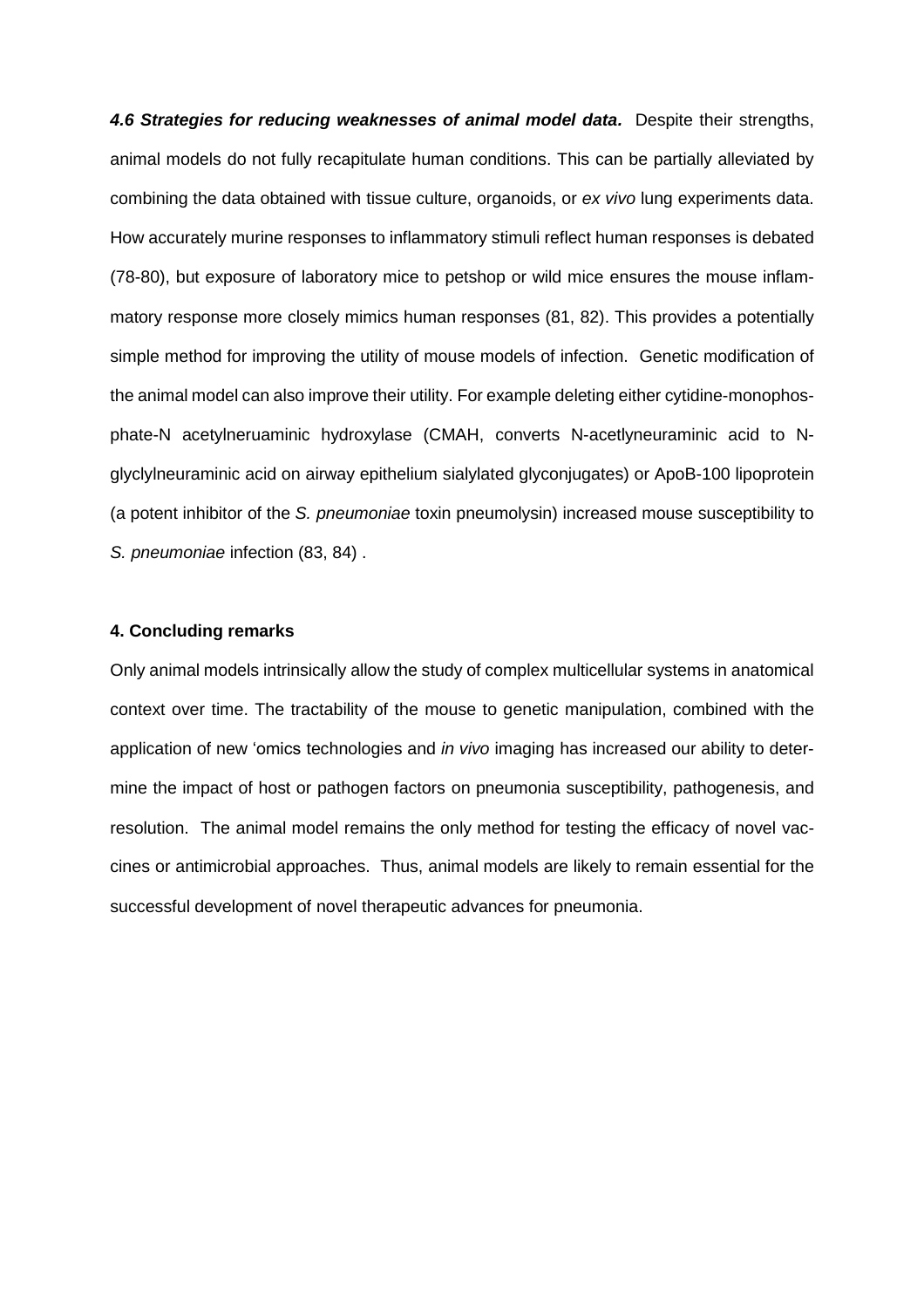4.6 Strategies for reducing weaknesses of animal model data. Despite their strengths, animal models do not fully recapitulate human conditions. This can be partially alleviated by combining the data obtained with tissue culture, organoids, or *ex vivo* lung experiments data. How accurately murine responses to inflammatory stimuli reflect human responses is debated (78-80), but exposure of laboratory mice to petshop or wild mice ensures the mouse inflammatory response more closely mimics human responses (81, 82). This provides a potentially simple method for improving the utility of mouse models of infection. Genetic modification of the animal model can also improve their utility. For example deleting either cytidine-monophosphate-N acetylneruaminic hydroxylase (CMAH, converts N-acetlyneuraminic acid to Nglyclylneuraminic acid on airway epithelium sialylated glyconjugates) or ApoB-100 lipoprotein (a potent inhibitor of the *S. pneumoniae* toxin pneumolysin) increased mouse susceptibility to *S. pneumoniae* infection (83, 84) .

### **4. Concluding remarks**

Only animal models intrinsically allow the study of complex multicellular systems in anatomical context over time. The tractability of the mouse to genetic manipulation, combined with the application of new 'omics technologies and *in vivo* imaging has increased our ability to determine the impact of host or pathogen factors on pneumonia susceptibility, pathogenesis, and resolution. The animal model remains the only method for testing the efficacy of novel vaccines or antimicrobial approaches. Thus, animal models are likely to remain essential for the successful development of novel therapeutic advances for pneumonia.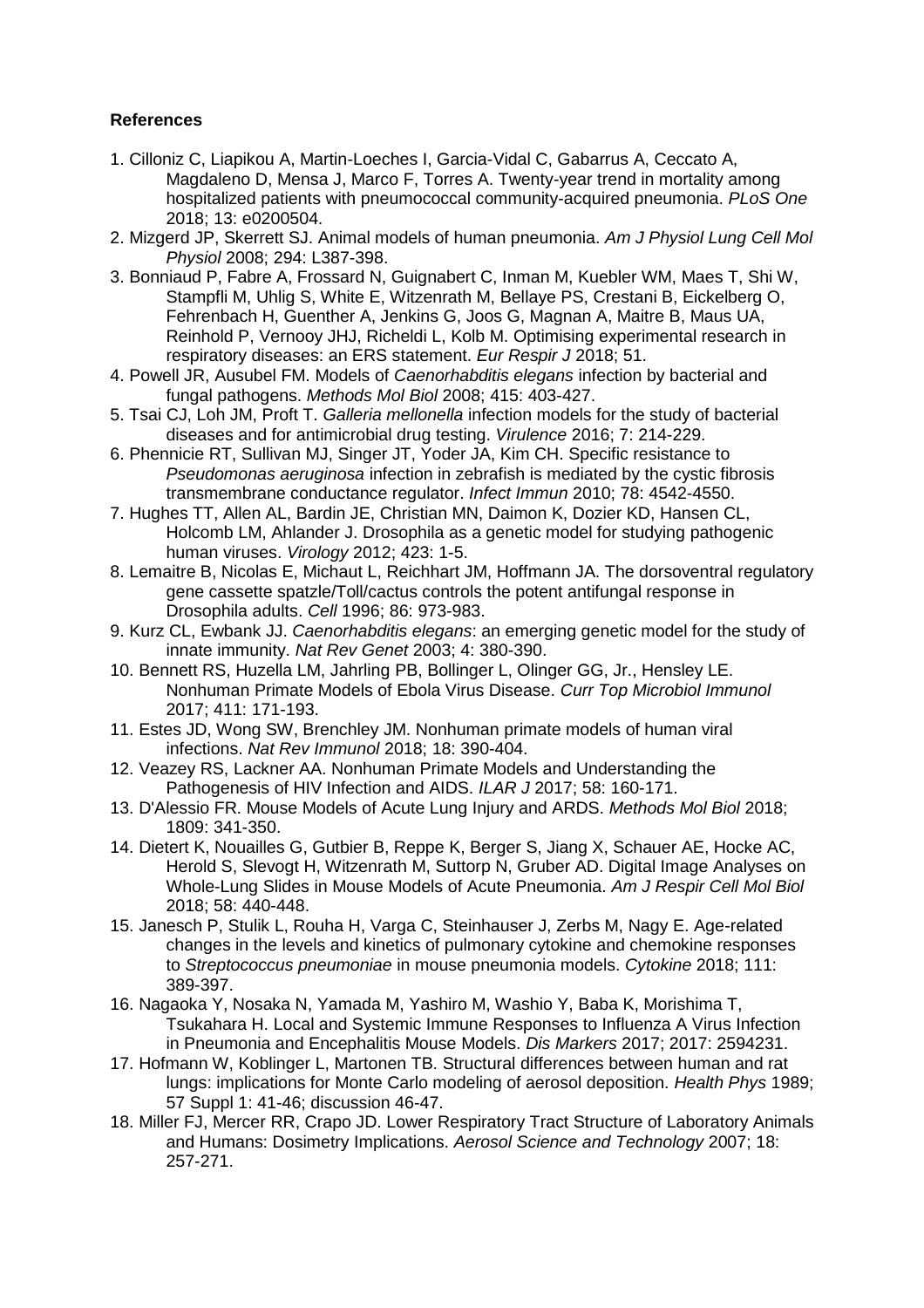## **References**

- 1. Cilloniz C, Liapikou A, Martin-Loeches I, Garcia-Vidal C, Gabarrus A, Ceccato A, Magdaleno D, Mensa J, Marco F, Torres A. Twenty-year trend in mortality among hospitalized patients with pneumococcal community-acquired pneumonia. *PLoS One*  2018; 13: e0200504.
- 2. Mizgerd JP, Skerrett SJ. Animal models of human pneumonia. *Am J Physiol Lung Cell Mol Physiol* 2008; 294: L387-398.
- 3. Bonniaud P, Fabre A, Frossard N, Guignabert C, Inman M, Kuebler WM, Maes T, Shi W, Stampfli M, Uhlig S, White E, Witzenrath M, Bellaye PS, Crestani B, Eickelberg O, Fehrenbach H, Guenther A, Jenkins G, Joos G, Magnan A, Maitre B, Maus UA, Reinhold P, Vernooy JHJ, Richeldi L, Kolb M. Optimising experimental research in respiratory diseases: an ERS statement. *Eur Respir J* 2018; 51.
- 4. Powell JR, Ausubel FM. Models of *Caenorhabditis elegans* infection by bacterial and fungal pathogens. *Methods Mol Biol* 2008; 415: 403-427.
- 5. Tsai CJ, Loh JM, Proft T. *Galleria mellonella* infection models for the study of bacterial diseases and for antimicrobial drug testing. *Virulence* 2016; 7: 214-229.
- 6. Phennicie RT, Sullivan MJ, Singer JT, Yoder JA, Kim CH. Specific resistance to *Pseudomonas aeruginosa* infection in zebrafish is mediated by the cystic fibrosis transmembrane conductance regulator. *Infect Immun* 2010; 78: 4542-4550.
- 7. Hughes TT, Allen AL, Bardin JE, Christian MN, Daimon K, Dozier KD, Hansen CL, Holcomb LM, Ahlander J. Drosophila as a genetic model for studying pathogenic human viruses. *Virology* 2012; 423: 1-5.
- 8. Lemaitre B, Nicolas E, Michaut L, Reichhart JM, Hoffmann JA. The dorsoventral regulatory gene cassette spatzle/Toll/cactus controls the potent antifungal response in Drosophila adults. *Cell* 1996; 86: 973-983.
- 9. Kurz CL, Ewbank JJ. *Caenorhabditis elegans*: an emerging genetic model for the study of innate immunity. *Nat Rev Genet* 2003; 4: 380-390.
- 10. Bennett RS, Huzella LM, Jahrling PB, Bollinger L, Olinger GG, Jr., Hensley LE. Nonhuman Primate Models of Ebola Virus Disease. *Curr Top Microbiol Immunol*  2017; 411: 171-193.
- 11. Estes JD, Wong SW, Brenchley JM. Nonhuman primate models of human viral infections. *Nat Rev Immunol* 2018; 18: 390-404.
- 12. Veazey RS, Lackner AA. Nonhuman Primate Models and Understanding the Pathogenesis of HIV Infection and AIDS. *ILAR J* 2017; 58: 160-171.
- 13. D'Alessio FR. Mouse Models of Acute Lung Injury and ARDS. *Methods Mol Biol* 2018; 1809: 341-350.
- 14. Dietert K, Nouailles G, Gutbier B, Reppe K, Berger S, Jiang X, Schauer AE, Hocke AC, Herold S, Slevogt H, Witzenrath M, Suttorp N, Gruber AD. Digital Image Analyses on Whole-Lung Slides in Mouse Models of Acute Pneumonia. *Am J Respir Cell Mol Biol*  2018; 58: 440-448.
- 15. Janesch P, Stulik L, Rouha H, Varga C, Steinhauser J, Zerbs M, Nagy E. Age-related changes in the levels and kinetics of pulmonary cytokine and chemokine responses to *Streptococcus pneumoniae* in mouse pneumonia models. *Cytokine* 2018; 111: 389-397.
- 16. Nagaoka Y, Nosaka N, Yamada M, Yashiro M, Washio Y, Baba K, Morishima T, Tsukahara H. Local and Systemic Immune Responses to Influenza A Virus Infection in Pneumonia and Encephalitis Mouse Models. *Dis Markers* 2017; 2017: 2594231.
- 17. Hofmann W, Koblinger L, Martonen TB. Structural differences between human and rat lungs: implications for Monte Carlo modeling of aerosol deposition. *Health Phys* 1989; 57 Suppl 1: 41-46; discussion 46-47.
- 18. Miller FJ, Mercer RR, Crapo JD. Lower Respiratory Tract Structure of Laboratory Animals and Humans: Dosimetry Implications. *Aerosol Science and Technology* 2007; 18: 257-271.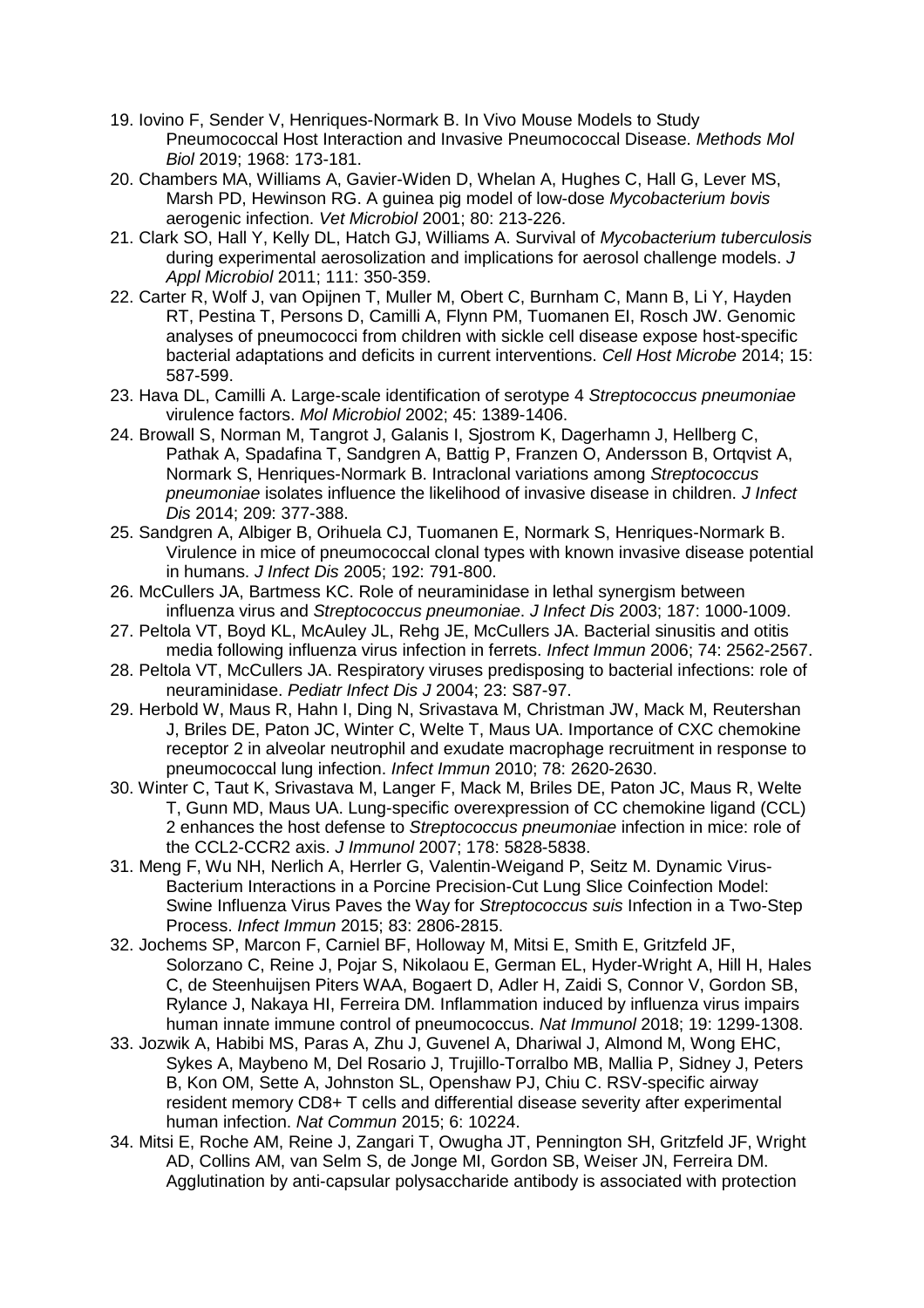- 19. Iovino F, Sender V, Henriques-Normark B. In Vivo Mouse Models to Study Pneumococcal Host Interaction and Invasive Pneumococcal Disease. *Methods Mol Biol* 2019; 1968: 173-181.
- 20. Chambers MA, Williams A, Gavier-Widen D, Whelan A, Hughes C, Hall G, Lever MS, Marsh PD, Hewinson RG. A guinea pig model of low-dose *Mycobacterium bovis* aerogenic infection. *Vet Microbiol* 2001; 80: 213-226.
- 21. Clark SO, Hall Y, Kelly DL, Hatch GJ, Williams A. Survival of *Mycobacterium tuberculosis* during experimental aerosolization and implications for aerosol challenge models. *J Appl Microbiol* 2011; 111: 350-359.
- 22. Carter R, Wolf J, van Opijnen T, Muller M, Obert C, Burnham C, Mann B, Li Y, Hayden RT, Pestina T, Persons D, Camilli A, Flynn PM, Tuomanen EI, Rosch JW. Genomic analyses of pneumococci from children with sickle cell disease expose host-specific bacterial adaptations and deficits in current interventions. *Cell Host Microbe* 2014; 15: 587-599.
- 23. Hava DL, Camilli A. Large-scale identification of serotype 4 *Streptococcus pneumoniae* virulence factors. *Mol Microbiol* 2002; 45: 1389-1406.
- 24. Browall S, Norman M, Tangrot J, Galanis I, Sjostrom K, Dagerhamn J, Hellberg C, Pathak A, Spadafina T, Sandgren A, Battig P, Franzen O, Andersson B, Ortqvist A, Normark S, Henriques-Normark B. Intraclonal variations among *Streptococcus pneumoniae* isolates influence the likelihood of invasive disease in children. *J Infect Dis* 2014; 209: 377-388.
- 25. Sandgren A, Albiger B, Orihuela CJ, Tuomanen E, Normark S, Henriques-Normark B. Virulence in mice of pneumococcal clonal types with known invasive disease potential in humans. *J Infect Dis* 2005; 192: 791-800.
- 26. McCullers JA, Bartmess KC. Role of neuraminidase in lethal synergism between influenza virus and *Streptococcus pneumoniae*. *J Infect Dis* 2003; 187: 1000-1009.
- 27. Peltola VT, Boyd KL, McAuley JL, Rehg JE, McCullers JA. Bacterial sinusitis and otitis media following influenza virus infection in ferrets. *Infect Immun* 2006; 74: 2562-2567.
- 28. Peltola VT, McCullers JA. Respiratory viruses predisposing to bacterial infections: role of neuraminidase. *Pediatr Infect Dis J* 2004; 23: S87-97.
- 29. Herbold W, Maus R, Hahn I, Ding N, Srivastava M, Christman JW, Mack M, Reutershan J, Briles DE, Paton JC, Winter C, Welte T, Maus UA. Importance of CXC chemokine receptor 2 in alveolar neutrophil and exudate macrophage recruitment in response to pneumococcal lung infection. *Infect Immun* 2010; 78: 2620-2630.
- 30. Winter C, Taut K, Srivastava M, Langer F, Mack M, Briles DE, Paton JC, Maus R, Welte T, Gunn MD, Maus UA. Lung-specific overexpression of CC chemokine ligand (CCL) 2 enhances the host defense to *Streptococcus pneumoniae* infection in mice: role of the CCL2-CCR2 axis. *J Immunol* 2007; 178: 5828-5838.
- 31. Meng F, Wu NH, Nerlich A, Herrler G, Valentin-Weigand P, Seitz M. Dynamic Virus-Bacterium Interactions in a Porcine Precision-Cut Lung Slice Coinfection Model: Swine Influenza Virus Paves the Way for *Streptococcus suis* Infection in a Two-Step Process. *Infect Immun* 2015; 83: 2806-2815.
- 32. Jochems SP, Marcon F, Carniel BF, Holloway M, Mitsi E, Smith E, Gritzfeld JF, Solorzano C, Reine J, Pojar S, Nikolaou E, German EL, Hyder-Wright A, Hill H, Hales C, de Steenhuijsen Piters WAA, Bogaert D, Adler H, Zaidi S, Connor V, Gordon SB, Rylance J, Nakaya HI, Ferreira DM. Inflammation induced by influenza virus impairs human innate immune control of pneumococcus. *Nat Immunol* 2018; 19: 1299-1308.
- 33. Jozwik A, Habibi MS, Paras A, Zhu J, Guvenel A, Dhariwal J, Almond M, Wong EHC, Sykes A, Maybeno M, Del Rosario J, Trujillo-Torralbo MB, Mallia P, Sidney J, Peters B, Kon OM, Sette A, Johnston SL, Openshaw PJ, Chiu C. RSV-specific airway resident memory CD8+ T cells and differential disease severity after experimental human infection. *Nat Commun* 2015; 6: 10224.
- 34. Mitsi E, Roche AM, Reine J, Zangari T, Owugha JT, Pennington SH, Gritzfeld JF, Wright AD, Collins AM, van Selm S, de Jonge MI, Gordon SB, Weiser JN, Ferreira DM. Agglutination by anti-capsular polysaccharide antibody is associated with protection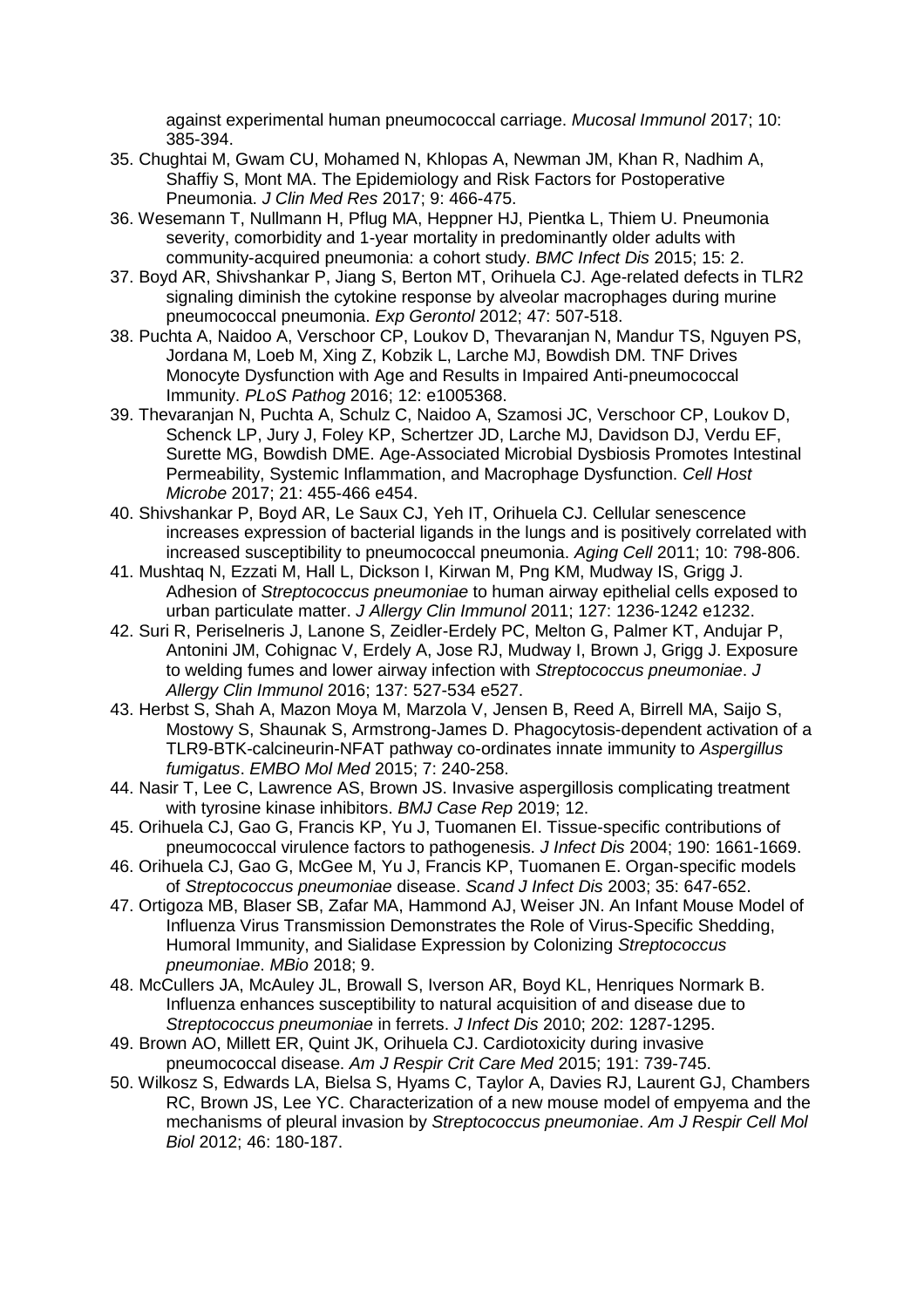against experimental human pneumococcal carriage. *Mucosal Immunol* 2017; 10: 385-394.

- 35. Chughtai M, Gwam CU, Mohamed N, Khlopas A, Newman JM, Khan R, Nadhim A, Shaffiy S, Mont MA. The Epidemiology and Risk Factors for Postoperative Pneumonia. *J Clin Med Res* 2017; 9: 466-475.
- 36. Wesemann T, Nullmann H, Pflug MA, Heppner HJ, Pientka L, Thiem U. Pneumonia severity, comorbidity and 1-year mortality in predominantly older adults with community-acquired pneumonia: a cohort study. *BMC Infect Dis* 2015; 15: 2.
- 37. Boyd AR, Shivshankar P, Jiang S, Berton MT, Orihuela CJ. Age-related defects in TLR2 signaling diminish the cytokine response by alveolar macrophages during murine pneumococcal pneumonia. *Exp Gerontol* 2012; 47: 507-518.
- 38. Puchta A, Naidoo A, Verschoor CP, Loukov D, Thevaranjan N, Mandur TS, Nguyen PS, Jordana M, Loeb M, Xing Z, Kobzik L, Larche MJ, Bowdish DM. TNF Drives Monocyte Dysfunction with Age and Results in Impaired Anti-pneumococcal Immunity. *PLoS Pathog* 2016; 12: e1005368.
- 39. Thevaranjan N, Puchta A, Schulz C, Naidoo A, Szamosi JC, Verschoor CP, Loukov D, Schenck LP, Jury J, Foley KP, Schertzer JD, Larche MJ, Davidson DJ, Verdu EF, Surette MG, Bowdish DME. Age-Associated Microbial Dysbiosis Promotes Intestinal Permeability, Systemic Inflammation, and Macrophage Dysfunction. *Cell Host Microbe* 2017; 21: 455-466 e454.
- 40. Shivshankar P, Boyd AR, Le Saux CJ, Yeh IT, Orihuela CJ. Cellular senescence increases expression of bacterial ligands in the lungs and is positively correlated with increased susceptibility to pneumococcal pneumonia. *Aging Cell* 2011; 10: 798-806.
- 41. Mushtaq N, Ezzati M, Hall L, Dickson I, Kirwan M, Png KM, Mudway IS, Grigg J. Adhesion of *Streptococcus pneumoniae* to human airway epithelial cells exposed to urban particulate matter. *J Allergy Clin Immunol* 2011; 127: 1236-1242 e1232.
- 42. Suri R, Periselneris J, Lanone S, Zeidler-Erdely PC, Melton G, Palmer KT, Andujar P, Antonini JM, Cohignac V, Erdely A, Jose RJ, Mudway I, Brown J, Grigg J. Exposure to welding fumes and lower airway infection with *Streptococcus pneumoniae*. *J Allergy Clin Immunol* 2016; 137: 527-534 e527.
- 43. Herbst S, Shah A, Mazon Moya M, Marzola V, Jensen B, Reed A, Birrell MA, Saijo S, Mostowy S, Shaunak S, Armstrong-James D. Phagocytosis-dependent activation of a TLR9-BTK-calcineurin-NFAT pathway co-ordinates innate immunity to *Aspergillus fumigatus*. *EMBO Mol Med* 2015; 7: 240-258.
- 44. Nasir T, Lee C, Lawrence AS, Brown JS. Invasive aspergillosis complicating treatment with tyrosine kinase inhibitors. *BMJ Case Rep* 2019; 12.
- 45. Orihuela CJ, Gao G, Francis KP, Yu J, Tuomanen EI. Tissue-specific contributions of pneumococcal virulence factors to pathogenesis. *J Infect Dis* 2004; 190: 1661-1669.
- 46. Orihuela CJ, Gao G, McGee M, Yu J, Francis KP, Tuomanen E. Organ-specific models of *Streptococcus pneumoniae* disease. *Scand J Infect Dis* 2003; 35: 647-652.
- 47. Ortigoza MB, Blaser SB, Zafar MA, Hammond AJ, Weiser JN. An Infant Mouse Model of Influenza Virus Transmission Demonstrates the Role of Virus-Specific Shedding, Humoral Immunity, and Sialidase Expression by Colonizing *Streptococcus pneumoniae*. *MBio* 2018; 9.
- 48. McCullers JA, McAuley JL, Browall S, Iverson AR, Boyd KL, Henriques Normark B. Influenza enhances susceptibility to natural acquisition of and disease due to *Streptococcus pneumoniae* in ferrets. *J Infect Dis* 2010; 202: 1287-1295.
- 49. Brown AO, Millett ER, Quint JK, Orihuela CJ. Cardiotoxicity during invasive pneumococcal disease. *Am J Respir Crit Care Med* 2015; 191: 739-745.
- 50. Wilkosz S, Edwards LA, Bielsa S, Hyams C, Taylor A, Davies RJ, Laurent GJ, Chambers RC, Brown JS, Lee YC. Characterization of a new mouse model of empyema and the mechanisms of pleural invasion by *Streptococcus pneumoniae*. *Am J Respir Cell Mol Biol* 2012; 46: 180-187.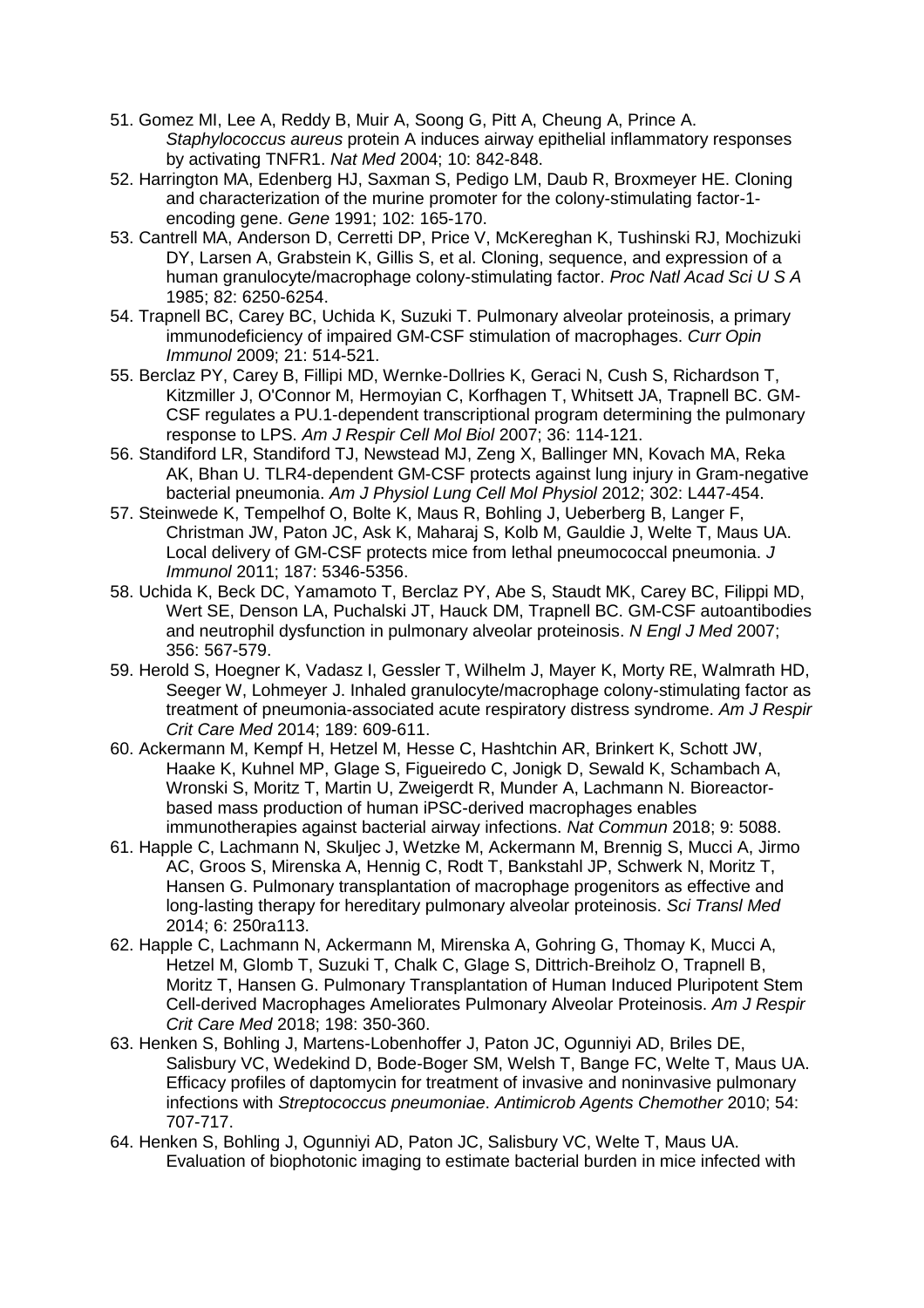- 51. Gomez MI, Lee A, Reddy B, Muir A, Soong G, Pitt A, Cheung A, Prince A. *Staphylococcus aureus* protein A induces airway epithelial inflammatory responses by activating TNFR1. *Nat Med* 2004; 10: 842-848.
- 52. Harrington MA, Edenberg HJ, Saxman S, Pedigo LM, Daub R, Broxmeyer HE. Cloning and characterization of the murine promoter for the colony-stimulating factor-1 encoding gene. *Gene* 1991; 102: 165-170.
- 53. Cantrell MA, Anderson D, Cerretti DP, Price V, McKereghan K, Tushinski RJ, Mochizuki DY, Larsen A, Grabstein K, Gillis S, et al. Cloning, sequence, and expression of a human granulocyte/macrophage colony-stimulating factor. *Proc Natl Acad Sci U S A*  1985; 82: 6250-6254.
- 54. Trapnell BC, Carey BC, Uchida K, Suzuki T. Pulmonary alveolar proteinosis, a primary immunodeficiency of impaired GM-CSF stimulation of macrophages. *Curr Opin Immunol* 2009; 21: 514-521.
- 55. Berclaz PY, Carey B, Fillipi MD, Wernke-Dollries K, Geraci N, Cush S, Richardson T, Kitzmiller J, O'Connor M, Hermoyian C, Korfhagen T, Whitsett JA, Trapnell BC. GM-CSF regulates a PU.1-dependent transcriptional program determining the pulmonary response to LPS. *Am J Respir Cell Mol Biol* 2007; 36: 114-121.
- 56. Standiford LR, Standiford TJ, Newstead MJ, Zeng X, Ballinger MN, Kovach MA, Reka AK, Bhan U. TLR4-dependent GM-CSF protects against lung injury in Gram-negative bacterial pneumonia. *Am J Physiol Lung Cell Mol Physiol* 2012; 302: L447-454.
- 57. Steinwede K, Tempelhof O, Bolte K, Maus R, Bohling J, Ueberberg B, Langer F, Christman JW, Paton JC, Ask K, Maharaj S, Kolb M, Gauldie J, Welte T, Maus UA. Local delivery of GM-CSF protects mice from lethal pneumococcal pneumonia. *J Immunol* 2011; 187: 5346-5356.
- 58. Uchida K, Beck DC, Yamamoto T, Berclaz PY, Abe S, Staudt MK, Carey BC, Filippi MD, Wert SE, Denson LA, Puchalski JT, Hauck DM, Trapnell BC. GM-CSF autoantibodies and neutrophil dysfunction in pulmonary alveolar proteinosis. *N Engl J Med* 2007; 356: 567-579.
- 59. Herold S, Hoegner K, Vadasz I, Gessler T, Wilhelm J, Mayer K, Morty RE, Walmrath HD, Seeger W, Lohmeyer J. Inhaled granulocyte/macrophage colony-stimulating factor as treatment of pneumonia-associated acute respiratory distress syndrome. *Am J Respir Crit Care Med* 2014; 189: 609-611.
- 60. Ackermann M, Kempf H, Hetzel M, Hesse C, Hashtchin AR, Brinkert K, Schott JW, Haake K, Kuhnel MP, Glage S, Figueiredo C, Jonigk D, Sewald K, Schambach A, Wronski S, Moritz T, Martin U, Zweigerdt R, Munder A, Lachmann N. Bioreactorbased mass production of human iPSC-derived macrophages enables immunotherapies against bacterial airway infections. *Nat Commun* 2018; 9: 5088.
- 61. Happle C, Lachmann N, Skuljec J, Wetzke M, Ackermann M, Brennig S, Mucci A, Jirmo AC, Groos S, Mirenska A, Hennig C, Rodt T, Bankstahl JP, Schwerk N, Moritz T, Hansen G. Pulmonary transplantation of macrophage progenitors as effective and long-lasting therapy for hereditary pulmonary alveolar proteinosis. *Sci Transl Med*  2014; 6: 250ra113.
- 62. Happle C, Lachmann N, Ackermann M, Mirenska A, Gohring G, Thomay K, Mucci A, Hetzel M, Glomb T, Suzuki T, Chalk C, Glage S, Dittrich-Breiholz O, Trapnell B, Moritz T, Hansen G. Pulmonary Transplantation of Human Induced Pluripotent Stem Cell-derived Macrophages Ameliorates Pulmonary Alveolar Proteinosis. *Am J Respir Crit Care Med* 2018; 198: 350-360.
- 63. Henken S, Bohling J, Martens-Lobenhoffer J, Paton JC, Ogunniyi AD, Briles DE, Salisbury VC, Wedekind D, Bode-Boger SM, Welsh T, Bange FC, Welte T, Maus UA. Efficacy profiles of daptomycin for treatment of invasive and noninvasive pulmonary infections with *Streptococcus pneumoniae*. *Antimicrob Agents Chemother* 2010; 54: 707-717.
- 64. Henken S, Bohling J, Ogunniyi AD, Paton JC, Salisbury VC, Welte T, Maus UA. Evaluation of biophotonic imaging to estimate bacterial burden in mice infected with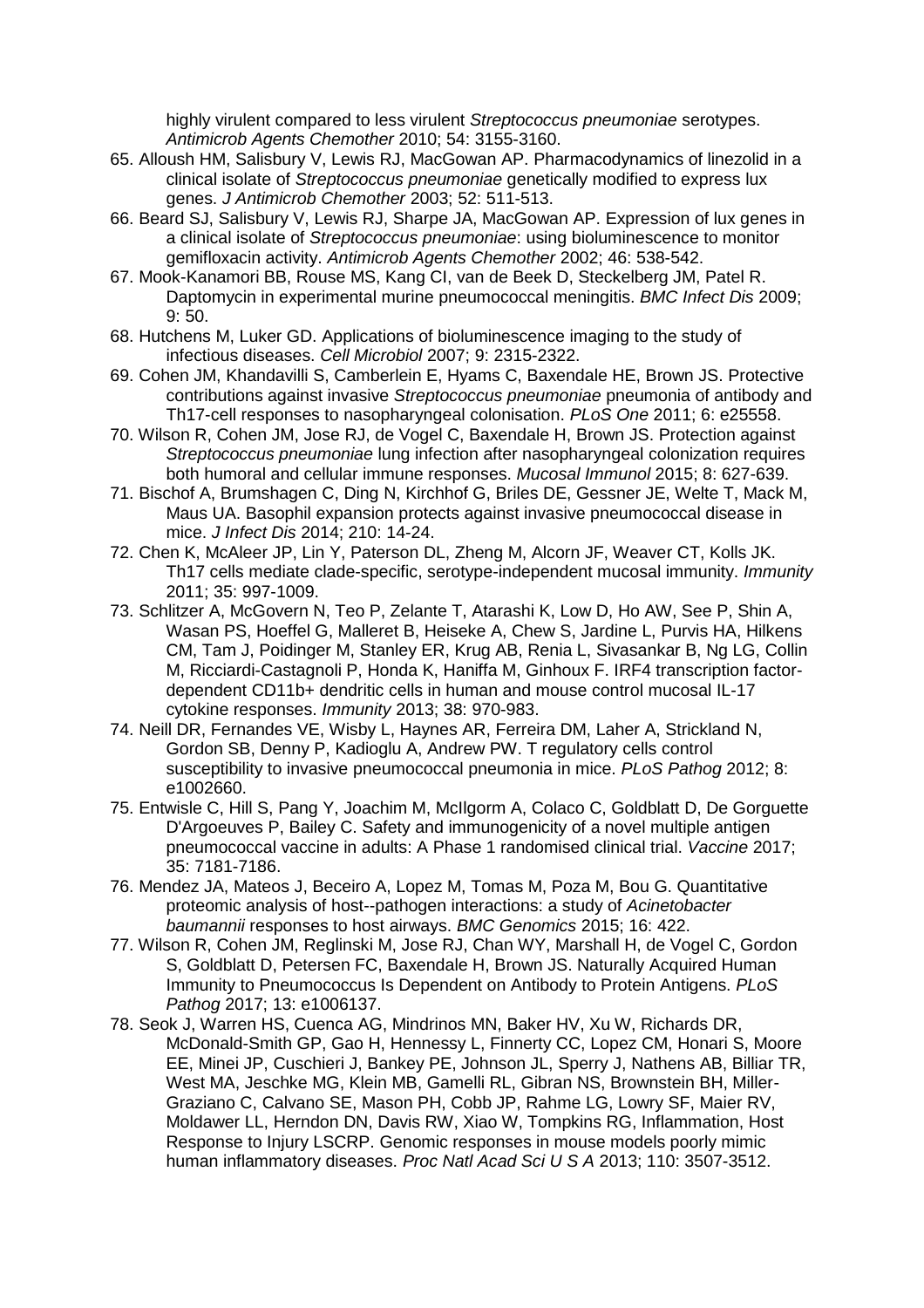highly virulent compared to less virulent *Streptococcus pneumoniae* serotypes. *Antimicrob Agents Chemother* 2010; 54: 3155-3160.

- 65. Alloush HM, Salisbury V, Lewis RJ, MacGowan AP. Pharmacodynamics of linezolid in a clinical isolate of *Streptococcus pneumoniae* genetically modified to express lux genes. *J Antimicrob Chemother* 2003; 52: 511-513.
- 66. Beard SJ, Salisbury V, Lewis RJ, Sharpe JA, MacGowan AP. Expression of lux genes in a clinical isolate of *Streptococcus pneumoniae*: using bioluminescence to monitor gemifloxacin activity. *Antimicrob Agents Chemother* 2002; 46: 538-542.
- 67. Mook-Kanamori BB, Rouse MS, Kang CI, van de Beek D, Steckelberg JM, Patel R. Daptomycin in experimental murine pneumococcal meningitis. *BMC Infect Dis* 2009; 9: 50.
- 68. Hutchens M, Luker GD. Applications of bioluminescence imaging to the study of infectious diseases. *Cell Microbiol* 2007; 9: 2315-2322.
- 69. Cohen JM, Khandavilli S, Camberlein E, Hyams C, Baxendale HE, Brown JS. Protective contributions against invasive *Streptococcus pneumoniae* pneumonia of antibody and Th17-cell responses to nasopharyngeal colonisation. *PLoS One* 2011; 6: e25558.
- 70. Wilson R, Cohen JM, Jose RJ, de Vogel C, Baxendale H, Brown JS. Protection against *Streptococcus pneumoniae* lung infection after nasopharyngeal colonization requires both humoral and cellular immune responses. *Mucosal Immunol* 2015; 8: 627-639.
- 71. Bischof A, Brumshagen C, Ding N, Kirchhof G, Briles DE, Gessner JE, Welte T, Mack M, Maus UA. Basophil expansion protects against invasive pneumococcal disease in mice. *J Infect Dis* 2014; 210: 14-24.
- 72. Chen K, McAleer JP, Lin Y, Paterson DL, Zheng M, Alcorn JF, Weaver CT, Kolls JK. Th17 cells mediate clade-specific, serotype-independent mucosal immunity. *Immunity*  2011; 35: 997-1009.
- 73. Schlitzer A, McGovern N, Teo P, Zelante T, Atarashi K, Low D, Ho AW, See P, Shin A, Wasan PS, Hoeffel G, Malleret B, Heiseke A, Chew S, Jardine L, Purvis HA, Hilkens CM, Tam J, Poidinger M, Stanley ER, Krug AB, Renia L, Sivasankar B, Ng LG, Collin M, Ricciardi-Castagnoli P, Honda K, Haniffa M, Ginhoux F. IRF4 transcription factordependent CD11b+ dendritic cells in human and mouse control mucosal IL-17 cytokine responses. *Immunity* 2013; 38: 970-983.
- 74. Neill DR, Fernandes VE, Wisby L, Haynes AR, Ferreira DM, Laher A, Strickland N, Gordon SB, Denny P, Kadioglu A, Andrew PW. T regulatory cells control susceptibility to invasive pneumococcal pneumonia in mice. *PLoS Pathog* 2012; 8: e1002660.
- 75. Entwisle C, Hill S, Pang Y, Joachim M, McIlgorm A, Colaco C, Goldblatt D, De Gorguette D'Argoeuves P, Bailey C. Safety and immunogenicity of a novel multiple antigen pneumococcal vaccine in adults: A Phase 1 randomised clinical trial. *Vaccine* 2017; 35: 7181-7186.
- 76. Mendez JA, Mateos J, Beceiro A, Lopez M, Tomas M, Poza M, Bou G. Quantitative proteomic analysis of host--pathogen interactions: a study of *Acinetobacter baumannii* responses to host airways. *BMC Genomics* 2015; 16: 422.
- 77. Wilson R, Cohen JM, Reglinski M, Jose RJ, Chan WY, Marshall H, de Vogel C, Gordon S, Goldblatt D, Petersen FC, Baxendale H, Brown JS. Naturally Acquired Human Immunity to Pneumococcus Is Dependent on Antibody to Protein Antigens. *PLoS Pathog* 2017; 13: e1006137.
- 78. Seok J, Warren HS, Cuenca AG, Mindrinos MN, Baker HV, Xu W, Richards DR, McDonald-Smith GP, Gao H, Hennessy L, Finnerty CC, Lopez CM, Honari S, Moore EE, Minei JP, Cuschieri J, Bankey PE, Johnson JL, Sperry J, Nathens AB, Billiar TR, West MA, Jeschke MG, Klein MB, Gamelli RL, Gibran NS, Brownstein BH, Miller-Graziano C, Calvano SE, Mason PH, Cobb JP, Rahme LG, Lowry SF, Maier RV, Moldawer LL, Herndon DN, Davis RW, Xiao W, Tompkins RG, Inflammation, Host Response to Injury LSCRP. Genomic responses in mouse models poorly mimic human inflammatory diseases. *Proc Natl Acad Sci U S A* 2013; 110: 3507-3512.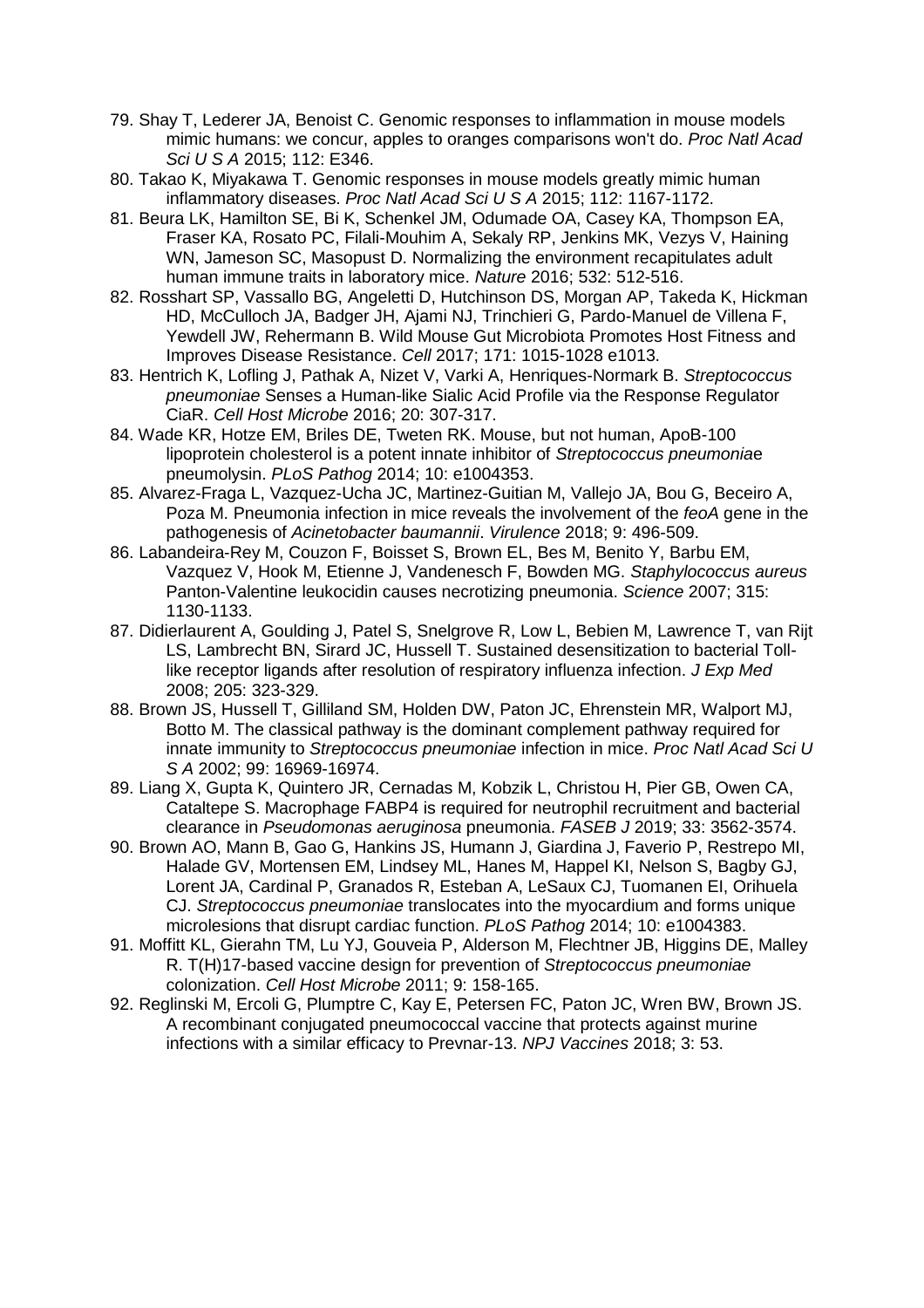- 79. Shay T, Lederer JA, Benoist C. Genomic responses to inflammation in mouse models mimic humans: we concur, apples to oranges comparisons won't do. *Proc Natl Acad Sci U S A* 2015; 112: E346.
- 80. Takao K, Miyakawa T. Genomic responses in mouse models greatly mimic human inflammatory diseases. *Proc Natl Acad Sci U S A* 2015; 112: 1167-1172.
- 81. Beura LK, Hamilton SE, Bi K, Schenkel JM, Odumade OA, Casey KA, Thompson EA, Fraser KA, Rosato PC, Filali-Mouhim A, Sekaly RP, Jenkins MK, Vezys V, Haining WN, Jameson SC, Masopust D. Normalizing the environment recapitulates adult human immune traits in laboratory mice. *Nature* 2016; 532: 512-516.
- 82. Rosshart SP, Vassallo BG, Angeletti D, Hutchinson DS, Morgan AP, Takeda K, Hickman HD, McCulloch JA, Badger JH, Ajami NJ, Trinchieri G, Pardo-Manuel de Villena F, Yewdell JW, Rehermann B. Wild Mouse Gut Microbiota Promotes Host Fitness and Improves Disease Resistance. *Cell* 2017; 171: 1015-1028 e1013.
- 83. Hentrich K, Lofling J, Pathak A, Nizet V, Varki A, Henriques-Normark B. *Streptococcus pneumoniae* Senses a Human-like Sialic Acid Profile via the Response Regulator CiaR. *Cell Host Microbe* 2016; 20: 307-317.
- 84. Wade KR, Hotze EM, Briles DE, Tweten RK. Mouse, but not human, ApoB-100 lipoprotein cholesterol is a potent innate inhibitor of *Streptococcus pneumonia*e pneumolysin. *PLoS Pathog* 2014; 10: e1004353.
- 85. Alvarez-Fraga L, Vazquez-Ucha JC, Martinez-Guitian M, Vallejo JA, Bou G, Beceiro A, Poza M. Pneumonia infection in mice reveals the involvement of the *feoA* gene in the pathogenesis of *Acinetobacter baumannii*. *Virulence* 2018; 9: 496-509.
- 86. Labandeira-Rey M, Couzon F, Boisset S, Brown EL, Bes M, Benito Y, Barbu EM, Vazquez V, Hook M, Etienne J, Vandenesch F, Bowden MG. *Staphylococcus aureus* Panton-Valentine leukocidin causes necrotizing pneumonia. *Science* 2007; 315: 1130-1133.
- 87. Didierlaurent A, Goulding J, Patel S, Snelgrove R, Low L, Bebien M, Lawrence T, van Rijt LS, Lambrecht BN, Sirard JC, Hussell T. Sustained desensitization to bacterial Tolllike receptor ligands after resolution of respiratory influenza infection. *J Exp Med*  2008; 205: 323-329.
- 88. Brown JS, Hussell T, Gilliland SM, Holden DW, Paton JC, Ehrenstein MR, Walport MJ, Botto M. The classical pathway is the dominant complement pathway required for innate immunity to *Streptococcus pneumoniae* infection in mice. *Proc Natl Acad Sci U S A* 2002; 99: 16969-16974.
- 89. Liang X, Gupta K, Quintero JR, Cernadas M, Kobzik L, Christou H, Pier GB, Owen CA, Cataltepe S. Macrophage FABP4 is required for neutrophil recruitment and bacterial clearance in *Pseudomonas aeruginosa* pneumonia. *FASEB J* 2019; 33: 3562-3574.
- 90. Brown AO, Mann B, Gao G, Hankins JS, Humann J, Giardina J, Faverio P, Restrepo MI, Halade GV, Mortensen EM, Lindsey ML, Hanes M, Happel KI, Nelson S, Bagby GJ, Lorent JA, Cardinal P, Granados R, Esteban A, LeSaux CJ, Tuomanen EI, Orihuela CJ. *Streptococcus pneumoniae* translocates into the myocardium and forms unique microlesions that disrupt cardiac function. *PLoS Pathog* 2014; 10: e1004383.
- 91. Moffitt KL, Gierahn TM, Lu YJ, Gouveia P, Alderson M, Flechtner JB, Higgins DE, Malley R. T(H)17-based vaccine design for prevention of *Streptococcus pneumoniae* colonization. *Cell Host Microbe* 2011; 9: 158-165.
- 92. Reglinski M, Ercoli G, Plumptre C, Kay E, Petersen FC, Paton JC, Wren BW, Brown JS. A recombinant conjugated pneumococcal vaccine that protects against murine infections with a similar efficacy to Prevnar-13. *NPJ Vaccines* 2018; 3: 53.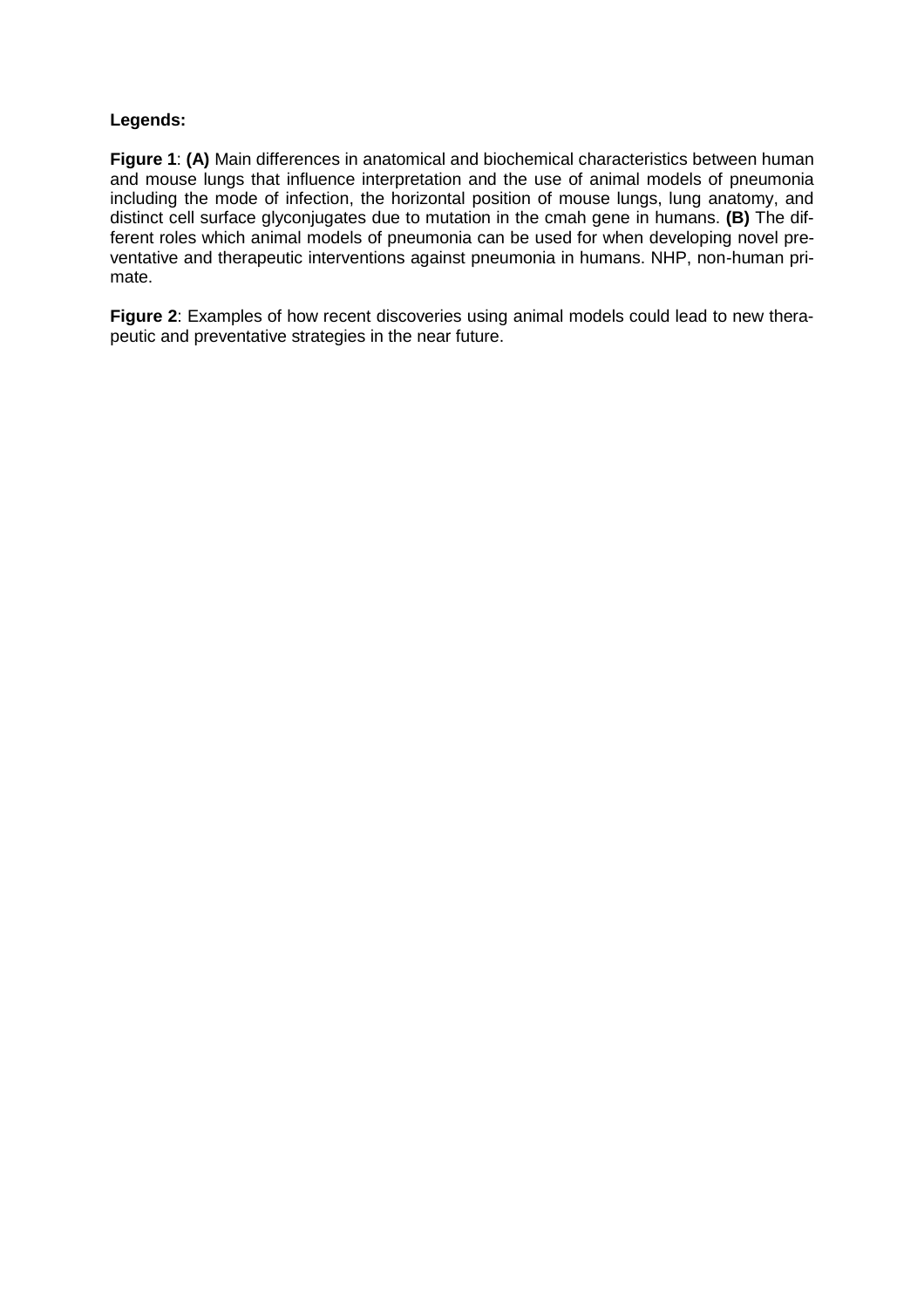## **Legends:**

**Figure 1**: **(A)** Main differences in anatomical and biochemical characteristics between human and mouse lungs that influence interpretation and the use of animal models of pneumonia including the mode of infection, the horizontal position of mouse lungs, lung anatomy, and distinct cell surface glyconjugates due to mutation in the cmah gene in humans. **(B)** The different roles which animal models of pneumonia can be used for when developing novel preventative and therapeutic interventions against pneumonia in humans. NHP, non-human primate.

**Figure 2**: Examples of how recent discoveries using animal models could lead to new therapeutic and preventative strategies in the near future.